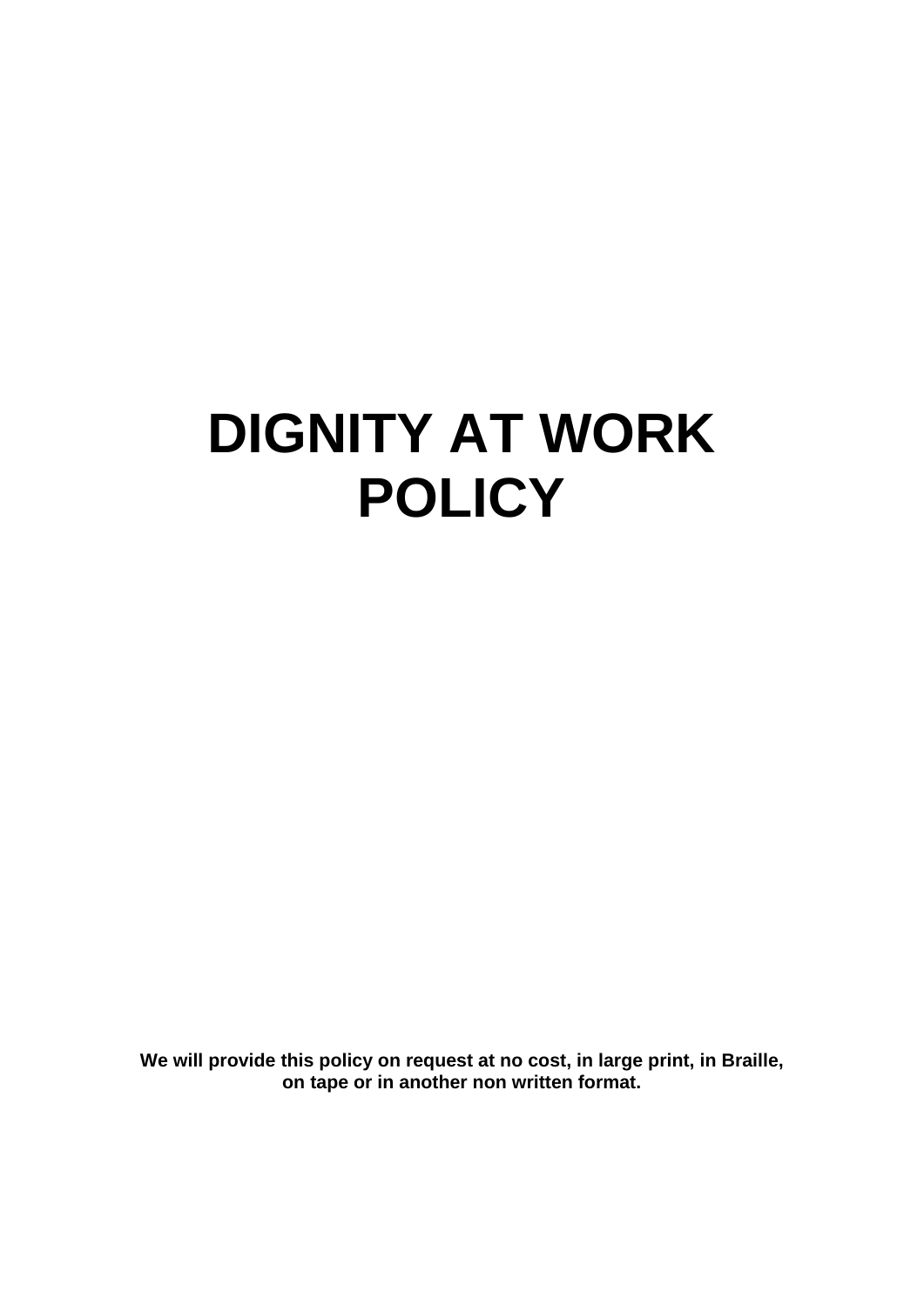# **DIGNITY AT WORK POLICY**

**We will provide this policy on request at no cost, in large print, in Braille, on tape or in another non written format.**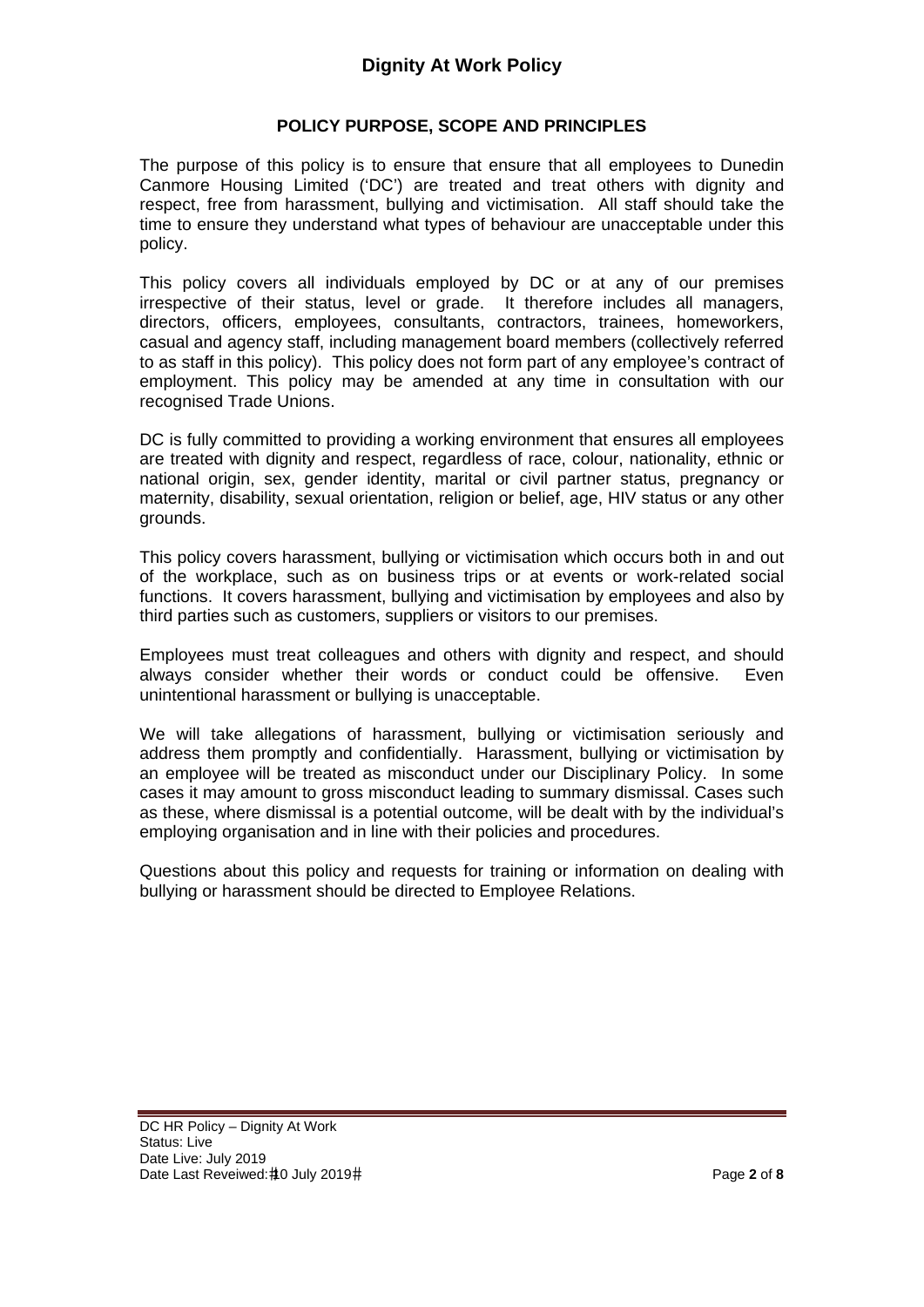# **POLICY PURPOSE, SCOPE AND PRINCIPLES**

The purpose of this policy is to ensure that ensure that all employees to Dunedin Canmore Housing Limited ('DC') are treated and treat others with dignity and respect, free from harassment, bullying and victimisation. All staff should take the time to ensure they understand what types of behaviour are unacceptable under this policy.

This policy covers all individuals employed by DC or at any of our premises irrespective of their status, level or grade. It therefore includes all managers, directors, officers, employees, consultants, contractors, trainees, homeworkers, casual and agency staff, including management board members (collectively referred to as staff in this policy). This policy does not form part of any employee's contract of employment. This policy may be amended at any time in consultation with our recognised Trade Unions.

DC is fully committed to providing a working environment that ensures all employees are treated with dignity and respect, regardless of race, colour, nationality, ethnic or national origin, sex, gender identity, marital or civil partner status, pregnancy or maternity, disability, sexual orientation, religion or belief, age, HIV status or any other grounds.

This policy covers harassment, bullying or victimisation which occurs both in and out of the workplace, such as on business trips or at events or work-related social functions. It covers harassment, bullying and victimisation by employees and also by third parties such as customers, suppliers or visitors to our premises.

Employees must treat colleagues and others with dignity and respect, and should always consider whether their words or conduct could be offensive. Even unintentional harassment or bullying is unacceptable.

We will take allegations of harassment, bullying or victimisation seriously and address them promptly and confidentially. Harassment, bullying or victimisation by an employee will be treated as misconduct under our Disciplinary Policy. In some cases it may amount to gross misconduct leading to summary dismissal. Cases such as these, where dismissal is a potential outcome, will be dealt with by the individual's employing organisation and in line with their policies and procedures.

Questions about this policy and requests for training or information on dealing with bullying or harassment should be directed to Employee Relations.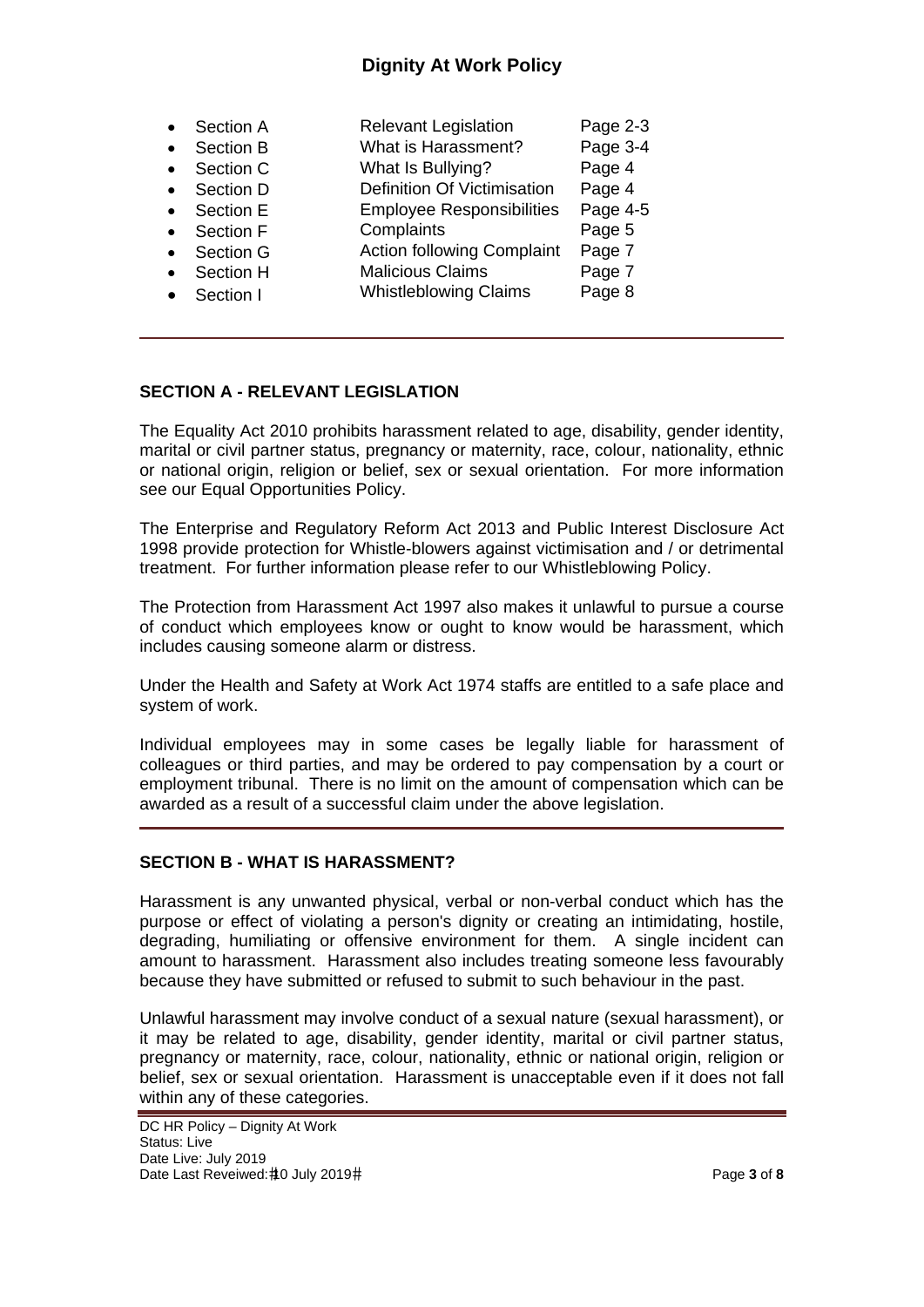# **Dignity At Work Policy**

|           | Section A        | <b>Relevant Legislation</b>        | Page 2-3 |
|-----------|------------------|------------------------------------|----------|
| $\bullet$ | Section B        | What is Harassment?                | Page 3-4 |
| $\bullet$ | Section C        | What Is Bullying?                  | Page 4   |
|           | Section D        | <b>Definition Of Victimisation</b> | Page 4   |
|           | Section E        | <b>Employee Responsibilities</b>   | Page 4-5 |
|           | <b>Section F</b> | Complaints                         | Page 5   |
|           | Section G        | <b>Action following Complaint</b>  | Page 7   |
|           | Section H        | <b>Malicious Claims</b>            | Page 7   |
|           | Section I        | <b>Whistleblowing Claims</b>       | Page 8   |

## **SECTION A - RELEVANT LEGISLATION**

The Equality Act 2010 prohibits harassment related to age, disability, gender identity, marital or civil partner status, pregnancy or maternity, race, colour, nationality, ethnic or national origin, religion or belief, sex or sexual orientation. For more information see our Equal Opportunities Policy.

The Enterprise and Regulatory Reform Act 2013 and Public Interest Disclosure Act 1998 provide protection for Whistle-blowers against victimisation and / or detrimental treatment. For further information please refer to our Whistleblowing Policy.

The Protection from Harassment Act 1997 also makes it unlawful to pursue a course of conduct which employees know or ought to know would be harassment, which includes causing someone alarm or distress.

Under the Health and Safety at Work Act 1974 staffs are entitled to a safe place and system of work.

Individual employees may in some cases be legally liable for harassment of colleagues or third parties, and may be ordered to pay compensation by a court or employment tribunal. There is no limit on the amount of compensation which can be awarded as a result of a successful claim under the above legislation.

#### **SECTION B - WHAT IS HARASSMENT?**

Harassment is any unwanted physical, verbal or non-verbal conduct which has the purpose or effect of violating a person's dignity or creating an intimidating, hostile, degrading, humiliating or offensive environment for them. A single incident can amount to harassment. Harassment also includes treating someone less favourably because they have submitted or refused to submit to such behaviour in the past.

Unlawful harassment may involve conduct of a sexual nature (sexual harassment), or it may be related to age, disability, gender identity, marital or civil partner status, pregnancy or maternity, race, colour, nationality, ethnic or national origin, religion or belief, sex or sexual orientation. Harassment is unacceptable even if it does not fall within any of these categories.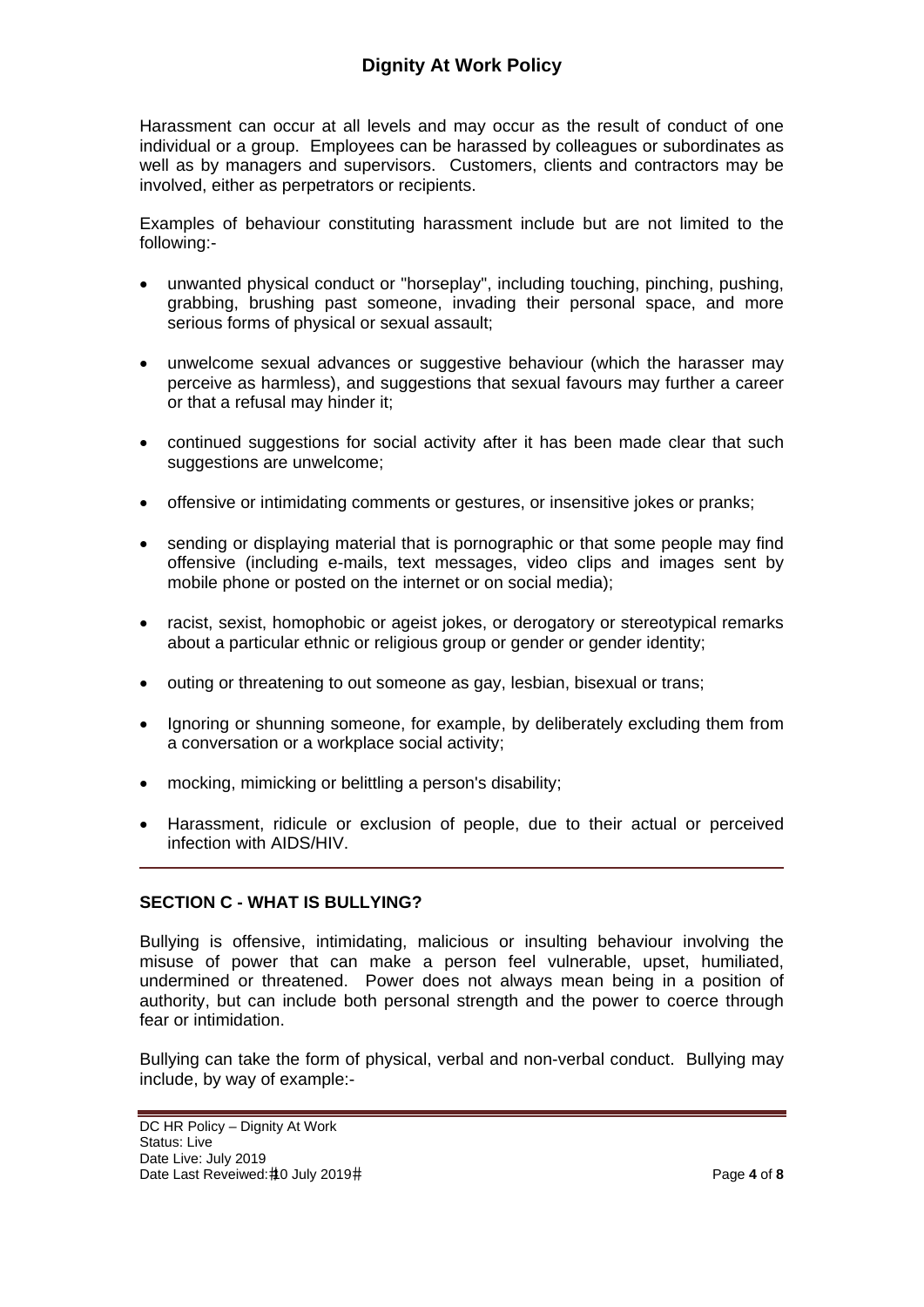Harassment can occur at all levels and may occur as the result of conduct of one individual or a group. Employees can be harassed by colleagues or subordinates as well as by managers and supervisors. Customers, clients and contractors may be involved, either as perpetrators or recipients.

Examples of behaviour constituting harassment include but are not limited to the following:-

- unwanted physical conduct or "horseplay", including touching, pinching, pushing, grabbing, brushing past someone, invading their personal space, and more serious forms of physical or sexual assault;
- unwelcome sexual advances or suggestive behaviour (which the harasser may perceive as harmless), and suggestions that sexual favours may further a career or that a refusal may hinder it;
- continued suggestions for social activity after it has been made clear that such suggestions are unwelcome:
- offensive or intimidating comments or gestures, or insensitive jokes or pranks;
- sending or displaying material that is pornographic or that some people may find offensive (including e-mails, text messages, video clips and images sent by mobile phone or posted on the internet or on social media);
- racist, sexist, homophobic or ageist jokes, or derogatory or stereotypical remarks about a particular ethnic or religious group or gender or gender identity;
- outing or threatening to out someone as gay, lesbian, bisexual or trans;
- Ignoring or shunning someone, for example, by deliberately excluding them from a conversation or a workplace social activity;
- mocking, mimicking or belittling a person's disability;
- Harassment, ridicule or exclusion of people, due to their actual or perceived infection with AIDS/HIV.

#### **SECTION C - WHAT IS BULLYING?**

Bullying is offensive, intimidating, malicious or insulting behaviour involving the misuse of power that can make a person feel vulnerable, upset, humiliated, undermined or threatened. Power does not always mean being in a position of authority, but can include both personal strength and the power to coerce through fear or intimidation.

Bullying can take the form of physical, verbal and non-verbal conduct. Bullying may include, by way of example:-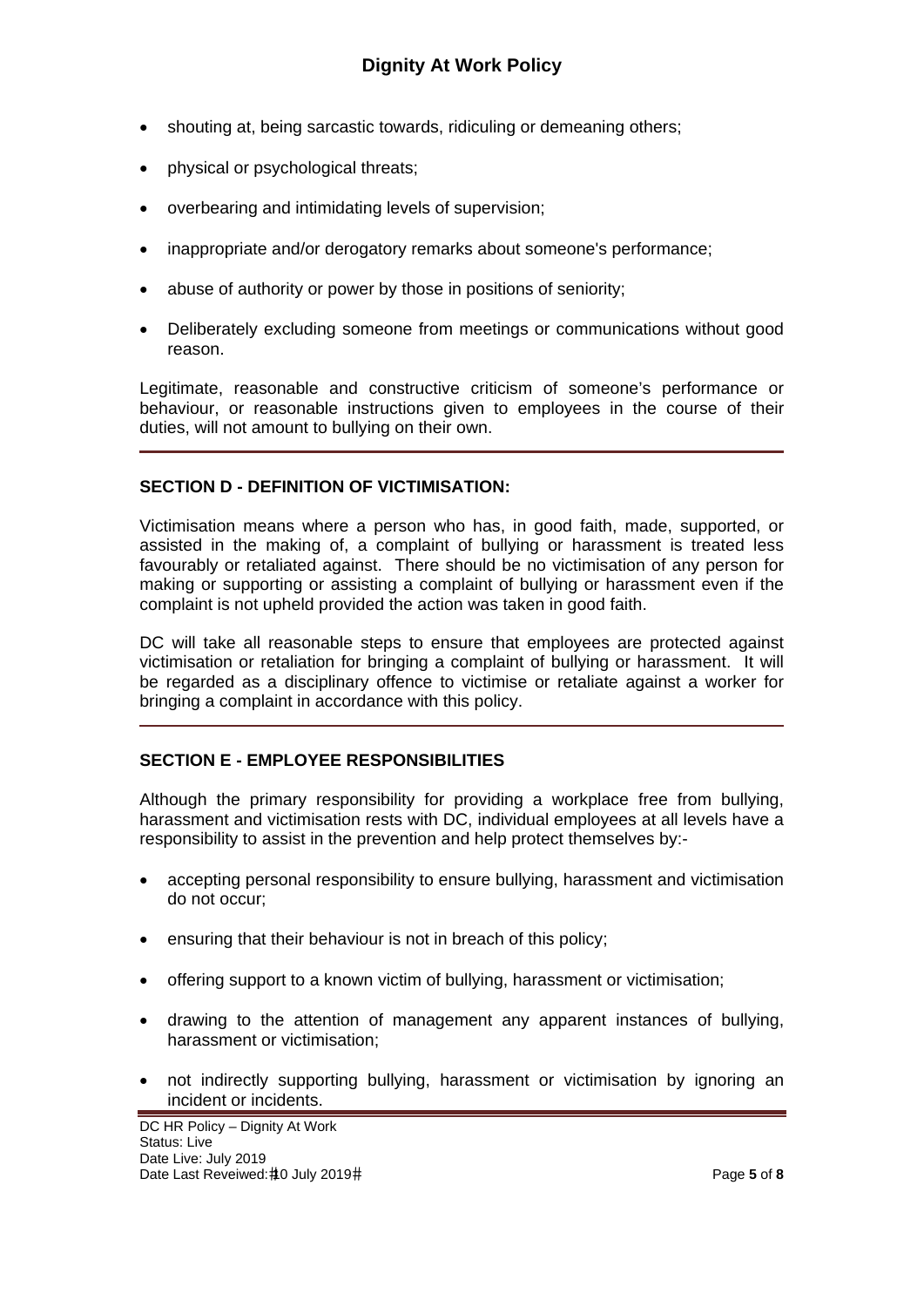- shouting at, being sarcastic towards, ridiculing or demeaning others;
- physical or psychological threats;
- overbearing and intimidating levels of supervision;
- inappropriate and/or derogatory remarks about someone's performance;
- abuse of authority or power by those in positions of seniority;
- Deliberately excluding someone from meetings or communications without good reason.

Legitimate, reasonable and constructive criticism of someone's performance or behaviour, or reasonable instructions given to employees in the course of their duties, will not amount to bullying on their own.

#### **SECTION D - DEFINITION OF VICTIMISATION:**

Victimisation means where a person who has, in good faith, made, supported, or assisted in the making of, a complaint of bullying or harassment is treated less favourably or retaliated against. There should be no victimisation of any person for making or supporting or assisting a complaint of bullying or harassment even if the complaint is not upheld provided the action was taken in good faith.

DC will take all reasonable steps to ensure that employees are protected against victimisation or retaliation for bringing a complaint of bullying or harassment. It will be regarded as a disciplinary offence to victimise or retaliate against a worker for bringing a complaint in accordance with this policy.

## **SECTION E - EMPLOYEE RESPONSIBILITIES**

Although the primary responsibility for providing a workplace free from bullying, harassment and victimisation rests with DC, individual employees at all levels have a responsibility to assist in the prevention and help protect themselves by:-

- accepting personal responsibility to ensure bullying, harassment and victimisation do not occur;
- ensuring that their behaviour is not in breach of this policy;
- offering support to a known victim of bullying, harassment or victimisation;
- drawing to the attention of management any apparent instances of bullying, harassment or victimisation;
- not indirectly supporting bullying, harassment or victimisation by ignoring an incident or incidents.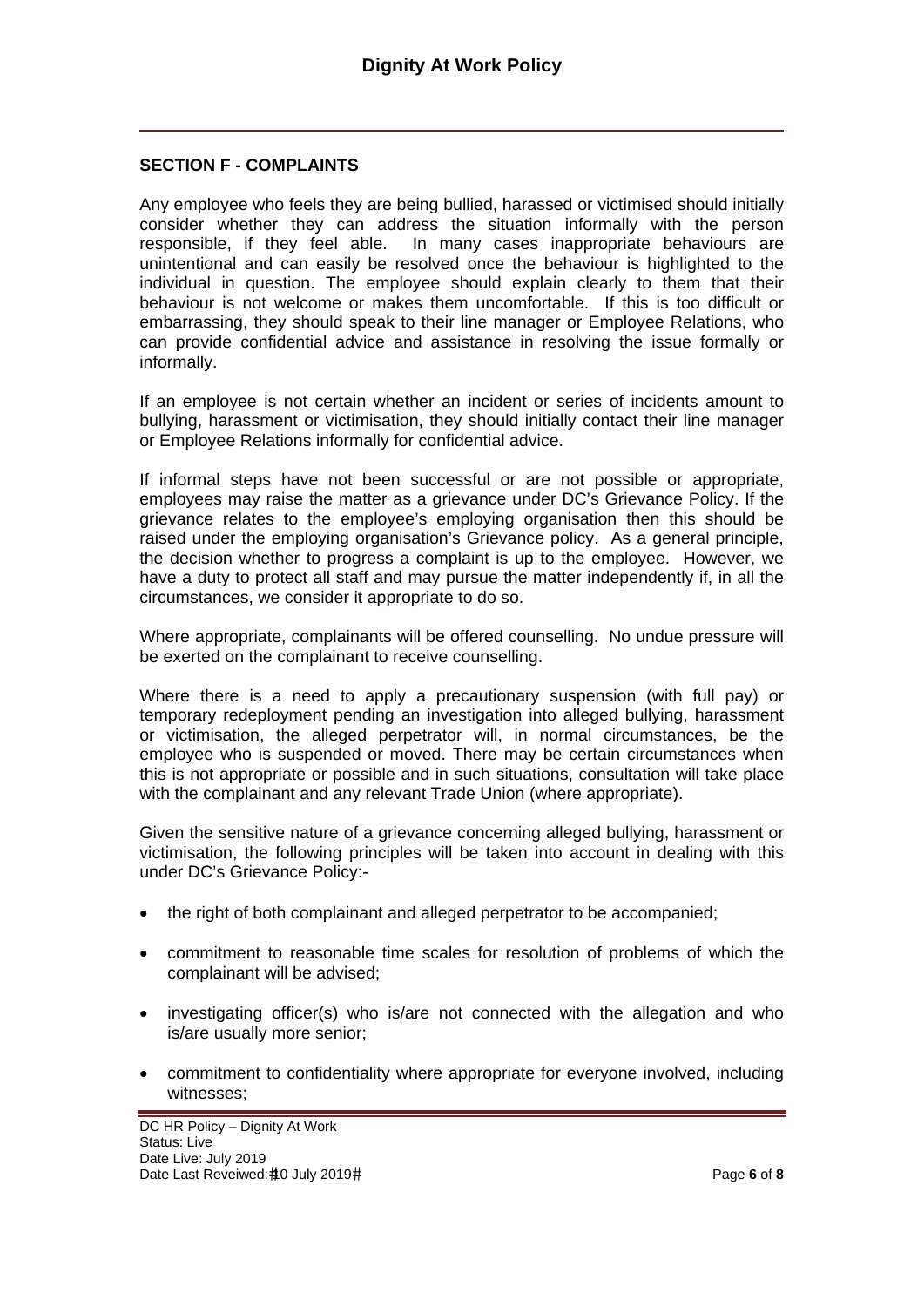#### **SECTION F - COMPLAINTS**

Any employee who feels they are being bullied, harassed or victimised should initially consider whether they can address the situation informally with the person responsible, if they feel able. In many cases inappropriate behaviours are unintentional and can easily be resolved once the behaviour is highlighted to the individual in question. The employee should explain clearly to them that their behaviour is not welcome or makes them uncomfortable. If this is too difficult or embarrassing, they should speak to their line manager or Employee Relations, who can provide confidential advice and assistance in resolving the issue formally or informally.

If an employee is not certain whether an incident or series of incidents amount to bullying, harassment or victimisation, they should initially contact their line manager or Employee Relations informally for confidential advice.

If informal steps have not been successful or are not possible or appropriate, employees may raise the matter as a grievance under DC's Grievance Policy. If the grievance relates to the employee's employing organisation then this should be raised under the employing organisation's Grievance policy. As a general principle, the decision whether to progress a complaint is up to the employee. However, we have a duty to protect all staff and may pursue the matter independently if, in all the circumstances, we consider it appropriate to do so.

Where appropriate, complainants will be offered counselling. No undue pressure will be exerted on the complainant to receive counselling.

Where there is a need to apply a precautionary suspension (with full pay) or temporary redeployment pending an investigation into alleged bullying, harassment or victimisation, the alleged perpetrator will, in normal circumstances, be the employee who is suspended or moved. There may be certain circumstances when this is not appropriate or possible and in such situations, consultation will take place with the complainant and any relevant Trade Union (where appropriate).

Given the sensitive nature of a grievance concerning alleged bullying, harassment or victimisation, the following principles will be taken into account in dealing with this under DC's Grievance Policy:-

- the right of both complainant and alleged perpetrator to be accompanied:
- commitment to reasonable time scales for resolution of problems of which the complainant will be advised;
- investigating officer(s) who is/are not connected with the allegation and who is/are usually more senior;
- commitment to confidentiality where appropriate for everyone involved, including witnesses;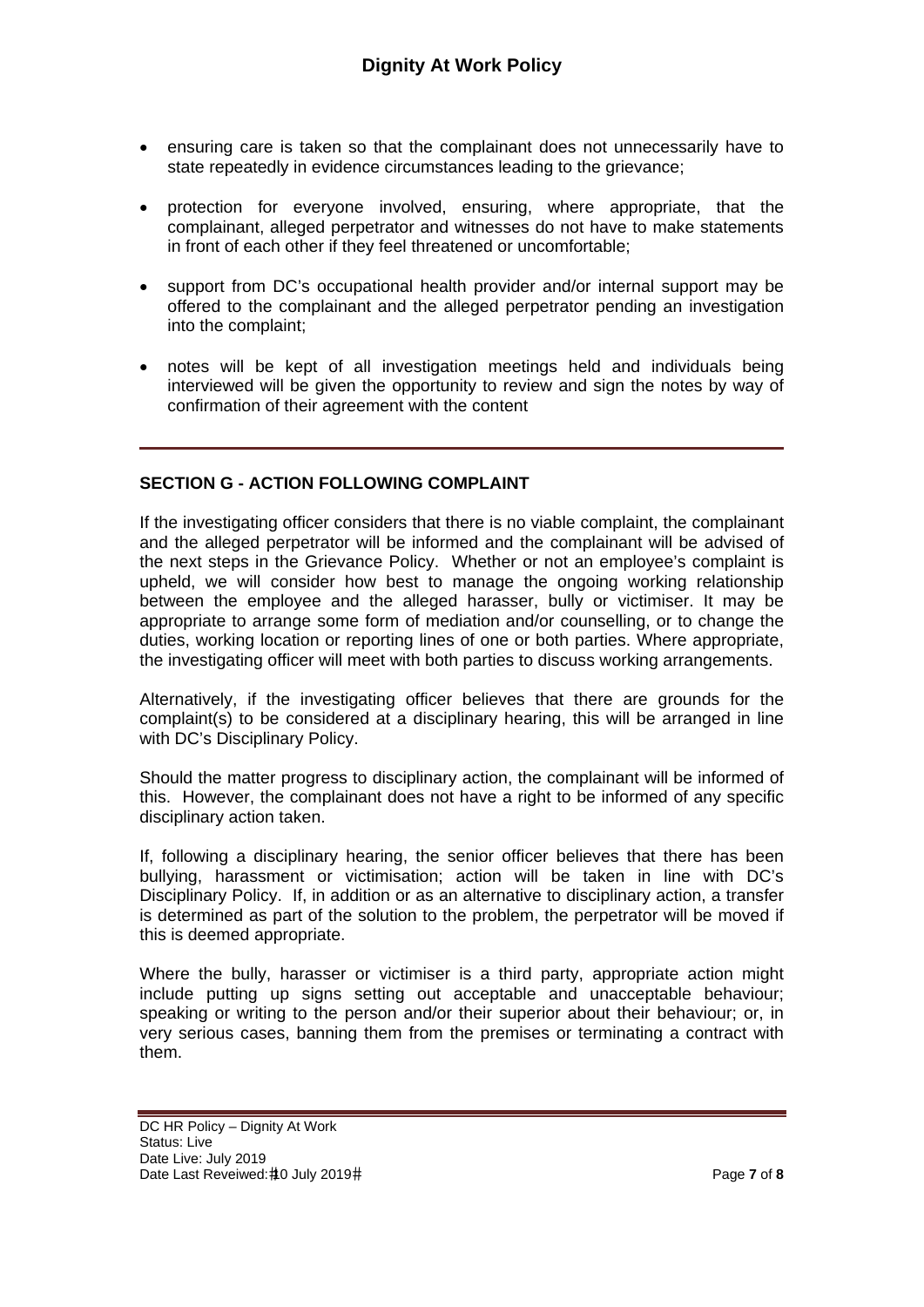- ensuring care is taken so that the complainant does not unnecessarily have to state repeatedly in evidence circumstances leading to the grievance;
- protection for everyone involved, ensuring, where appropriate, that the complainant, alleged perpetrator and witnesses do not have to make statements in front of each other if they feel threatened or uncomfortable;
- support from DC's occupational health provider and/or internal support may be offered to the complainant and the alleged perpetrator pending an investigation into the complaint;
- notes will be kept of all investigation meetings held and individuals being interviewed will be given the opportunity to review and sign the notes by way of confirmation of their agreement with the content

#### **SECTION G - ACTION FOLLOWING COMPLAINT**

If the investigating officer considers that there is no viable complaint, the complainant and the alleged perpetrator will be informed and the complainant will be advised of the next steps in the Grievance Policy. Whether or not an employee's complaint is upheld, we will consider how best to manage the ongoing working relationship between the employee and the alleged harasser, bully or victimiser. It may be appropriate to arrange some form of mediation and/or counselling, or to change the duties, working location or reporting lines of one or both parties. Where appropriate, the investigating officer will meet with both parties to discuss working arrangements.

Alternatively, if the investigating officer believes that there are grounds for the complaint(s) to be considered at a disciplinary hearing, this will be arranged in line with DC's Disciplinary Policy.

Should the matter progress to disciplinary action, the complainant will be informed of this. However, the complainant does not have a right to be informed of any specific disciplinary action taken.

If, following a disciplinary hearing, the senior officer believes that there has been bullying, harassment or victimisation; action will be taken in line with DC's Disciplinary Policy. If, in addition or as an alternative to disciplinary action, a transfer is determined as part of the solution to the problem, the perpetrator will be moved if this is deemed appropriate.

Where the bully, harasser or victimiser is a third party, appropriate action might include putting up signs setting out acceptable and unacceptable behaviour; speaking or writing to the person and/or their superior about their behaviour; or, in very serious cases, banning them from the premises or terminating a contract with them.